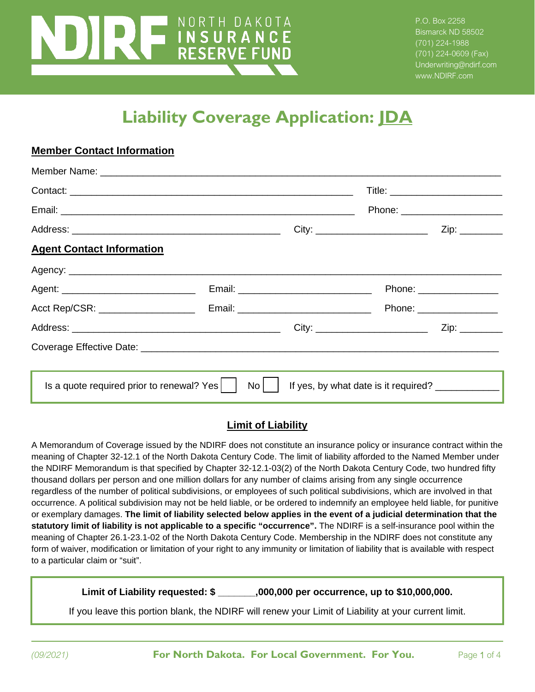# NORTH DAKOTA **THE COVERAGE APPLICATION**<br>THE POST COVERAGE APPLICATIONS

P.O. Box 2258 Bismarck ND 58502 (701) 224-1988 (701) 224-0609 (Fax) Underwriting@ndirf.com www.NDIRF.com

## **Liability Coverage Application: JDA**

|                                                   |    |                                                   | Phone: ________________________         |                           |
|---------------------------------------------------|----|---------------------------------------------------|-----------------------------------------|---------------------------|
|                                                   |    |                                                   | City: ____________________________      | Zip: ________             |
| <b>Agent Contact Information</b>                  |    |                                                   |                                         |                           |
|                                                   |    |                                                   |                                         |                           |
|                                                   |    |                                                   |                                         | Phone: ________________   |
|                                                   |    |                                                   |                                         | Phone: __________________ |
|                                                   |    |                                                   | City: _________________________________ | Zip: ________             |
|                                                   |    |                                                   |                                         |                           |
|                                                   |    |                                                   |                                         |                           |
| Is a quote required prior to renewal? Yes $\vert$ | No | If yes, by what date is it required? ____________ |                                         |                           |

### **Limit of Liability**

A Memorandum of Coverage issued by the NDIRF does not constitute an insurance policy or insurance contract within the meaning of Chapter 32-12.1 of the North Dakota Century Code. The limit of liability afforded to the Named Member under the NDIRF Memorandum is that specified by Chapter 32-12.1-03(2) of the North Dakota Century Code, two hundred fifty thousand dollars per person and one million dollars for any number of claims arising from any single occurrence regardless of the number of political subdivisions, or employees of such political subdivisions, which are involved in that occurrence. A political subdivision may not be held liable, or be ordered to indemnify an employee held liable, for punitive or exemplary damages. **The limit of liability selected below applies in the event of a judicial determination that the statutory limit of liability is not applicable to a specific "occurrence".** The NDIRF is a self-insurance pool within the meaning of Chapter 26.1-23.1-02 of the North Dakota Century Code. Membership in the NDIRF does not constitute any form of waiver, modification or limitation of your right to any immunity or limitation of liability that is available with respect to a particular claim or "suit".

**Limit of Liability requested: \$ \_\_\_\_\_\_\_,000,000 per occurrence, up to \$10,000,000.**

If you leave this portion blank, the NDIRF will renew your Limit of Liability at your current limit.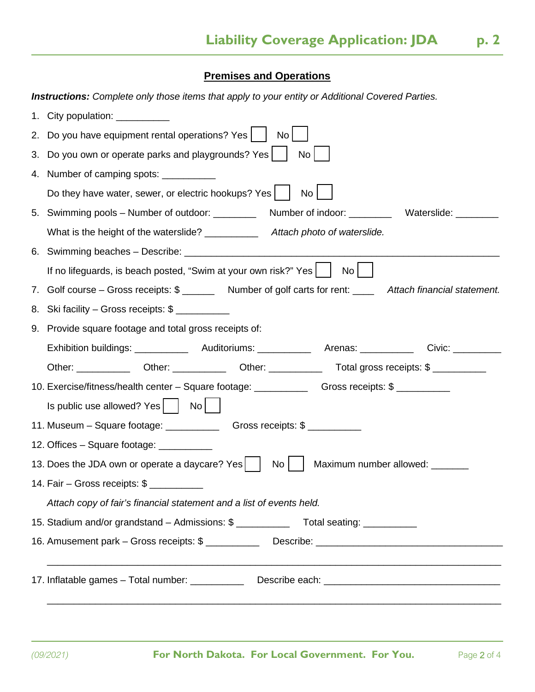## **Premises and Operations**

 $\overline{a}$ 

|    | <b>Instructions:</b> Complete only those items that apply to your entity or Additional Covered Parties.       |  |  |  |  |  |
|----|---------------------------------------------------------------------------------------------------------------|--|--|--|--|--|
|    | 1. City population: ___________                                                                               |  |  |  |  |  |
|    | 2. Do you have equipment rental operations? Yes<br>No                                                         |  |  |  |  |  |
| 3. | Do you own or operate parks and playgrounds? Yes<br>No                                                        |  |  |  |  |  |
| 4. | Number of camping spots: ___________                                                                          |  |  |  |  |  |
|    | Do they have water, sewer, or electric hookups? Yes  <br>No                                                   |  |  |  |  |  |
|    | 5. Swimming pools – Number of outdoor: ________                                                               |  |  |  |  |  |
|    | What is the height of the waterslide? ___________<br>Attach photo of waterslide.                              |  |  |  |  |  |
|    |                                                                                                               |  |  |  |  |  |
|    | If no lifeguards, is beach posted, "Swim at your own risk?" Yes<br>No                                         |  |  |  |  |  |
|    | 7. Golf course – Gross receipts: \$ ________ Number of golf carts for rent: _____ Attach financial statement. |  |  |  |  |  |
|    | 8. Ski facility – Gross receipts: \$                                                                          |  |  |  |  |  |
|    | 9. Provide square footage and total gross receipts of:                                                        |  |  |  |  |  |
|    |                                                                                                               |  |  |  |  |  |
|    |                                                                                                               |  |  |  |  |  |
|    | 10. Exercise/fitness/health center - Square footage: ____________________________                             |  |  |  |  |  |
|    | $\vert$ s public use allowed? Yes $\vert$ $\vert$ No $\vert$                                                  |  |  |  |  |  |
|    |                                                                                                               |  |  |  |  |  |
|    | 12. Offices – Square footage: ___________                                                                     |  |  |  |  |  |
|    | 13. Does the JDA own or operate a daycare? Yes<br>No<br>Maximum number allowed: _______                       |  |  |  |  |  |
|    | 14. Fair - Gross receipts: \$                                                                                 |  |  |  |  |  |
|    | Attach copy of fair's financial statement and a list of events held.                                          |  |  |  |  |  |
|    | 15. Stadium and/or grandstand - Admissions: \$ __________________________________                             |  |  |  |  |  |
|    | 16. Amusement park – Gross receipts: \$ ________________Describe: ___________________________________         |  |  |  |  |  |
|    | 17. Inflatable games - Total number: ______________ Describe each: _________________________________          |  |  |  |  |  |
|    |                                                                                                               |  |  |  |  |  |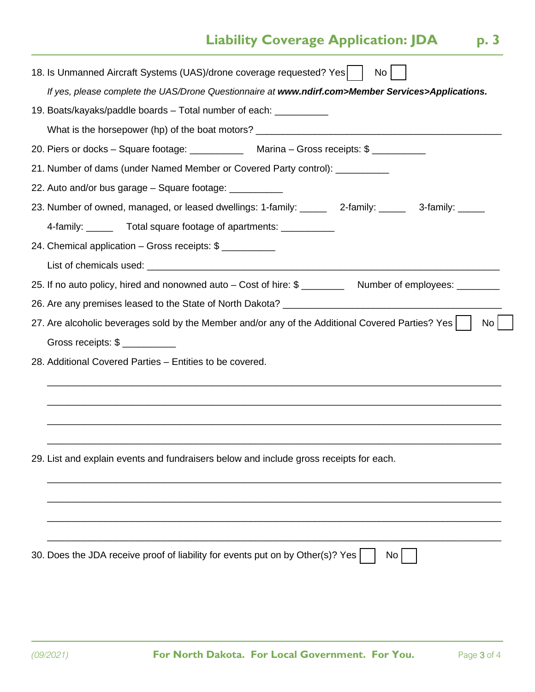## **Liability Coverage Application: JDA** p. 3

| 18. Is Unmanned Aircraft Systems (UAS)/drone coverage requested? Yes<br>No                                          |
|---------------------------------------------------------------------------------------------------------------------|
| If yes, please complete the UAS/Drone Questionnaire at www.ndirf.com>Member Services>Applications.                  |
| 19. Boats/kayaks/paddle boards – Total number of each: ___________                                                  |
| What is the horsepower (hp) of the boat motors? _________________________________                                   |
| 20. Piers or docks - Square footage: _______________ Marina - Gross receipts: \$ ___________                        |
| 21. Number of dams (under Named Member or Covered Party control): ___________                                       |
| 22. Auto and/or bus garage – Square footage: ___________                                                            |
| 23. Number of owned, managed, or leased dwellings: 1-family: ______ 2-family: _____ 3-family: _____                 |
| 4-family: _______ Total square footage of apartments: ___________                                                   |
| 24. Chemical application - Gross receipts: \$                                                                       |
|                                                                                                                     |
| 25. If no auto policy, hired and nonowned auto – Cost of hire: \$<br>Number of employees: ________                  |
|                                                                                                                     |
|                                                                                                                     |
| 27. Are alcoholic beverages sold by the Member and/or any of the Additional Covered Parties? Yes<br>No <sub>1</sub> |
| Gross receipts: \$                                                                                                  |
| 28. Additional Covered Parties - Entities to be covered.                                                            |
|                                                                                                                     |
|                                                                                                                     |
|                                                                                                                     |
|                                                                                                                     |
| 29. List and explain events and fundraisers below and include gross receipts for each.                              |
|                                                                                                                     |
|                                                                                                                     |
|                                                                                                                     |
|                                                                                                                     |
| 30. Does the JDA receive proof of liability for events put on by Other(s)? Yes<br>No                                |